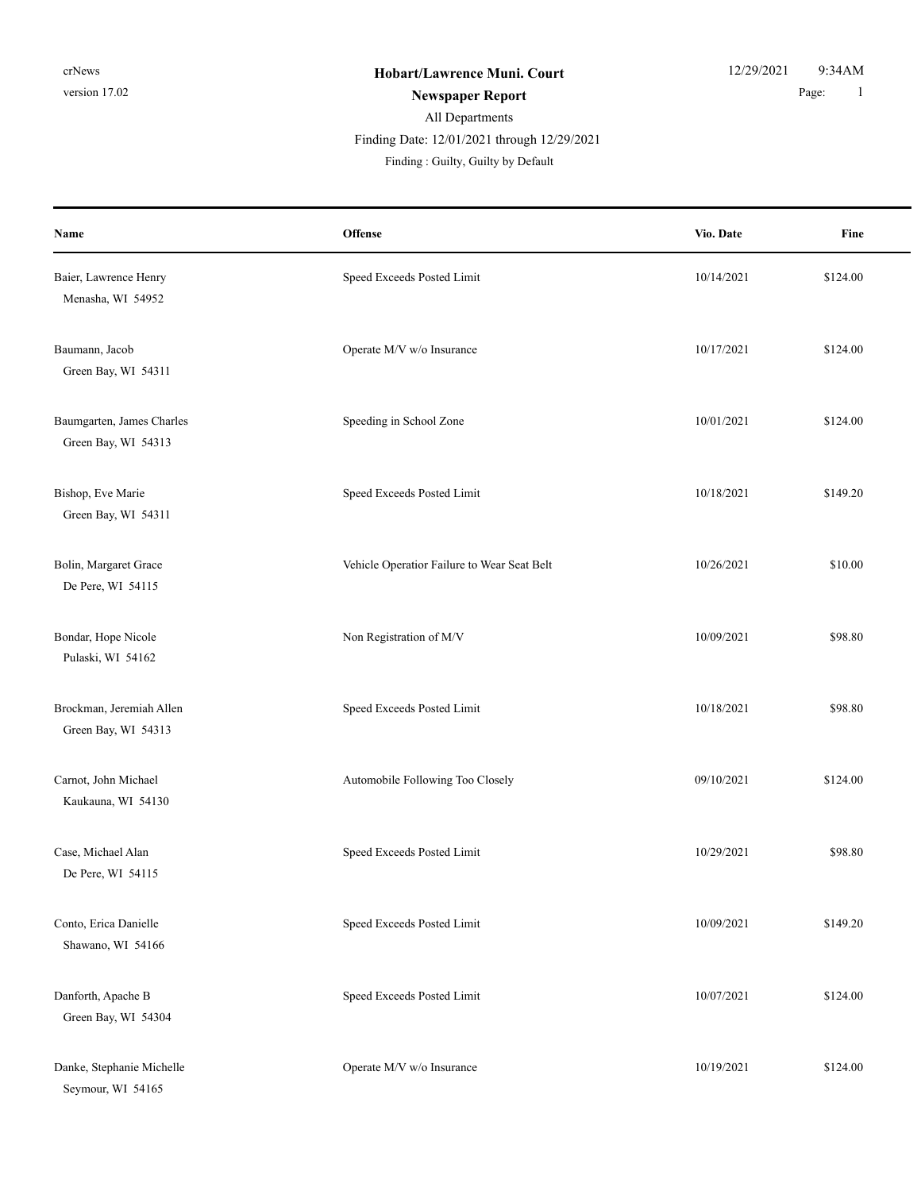| Name                                             | Offense                                     | Vio. Date  | Fine     |
|--------------------------------------------------|---------------------------------------------|------------|----------|
| Baier, Lawrence Henry<br>Menasha, WI 54952       | Speed Exceeds Posted Limit                  | 10/14/2021 | \$124.00 |
| Baumann, Jacob<br>Green Bay, WI 54311            | Operate M/V w/o Insurance                   | 10/17/2021 | \$124.00 |
| Baumgarten, James Charles<br>Green Bay, WI 54313 | Speeding in School Zone                     | 10/01/2021 | \$124.00 |
| Bishop, Eve Marie<br>Green Bay, WI 54311         | Speed Exceeds Posted Limit                  | 10/18/2021 | \$149.20 |
| Bolin, Margaret Grace<br>De Pere, WI 54115       | Vehicle Operatior Failure to Wear Seat Belt | 10/26/2021 | \$10.00  |
| Bondar, Hope Nicole<br>Pulaski, WI 54162         | Non Registration of M/V                     | 10/09/2021 | \$98.80  |
| Brockman, Jeremiah Allen<br>Green Bay, WI 54313  | Speed Exceeds Posted Limit                  | 10/18/2021 | \$98.80  |
| Carnot, John Michael<br>Kaukauna, WI 54130       | Automobile Following Too Closely            | 09/10/2021 | \$124.00 |
| Case, Michael Alan<br>De Pere, WI 54115          | Speed Exceeds Posted Limit                  | 10/29/2021 | \$98.80  |
| Conto, Erica Danielle<br>Shawano, WI 54166       | Speed Exceeds Posted Limit                  | 10/09/2021 | \$149.20 |
| Danforth, Apache B<br>Green Bay, WI 54304        | Speed Exceeds Posted Limit                  | 10/07/2021 | \$124.00 |
| Danke, Stephanie Michelle<br>Seymour, WI 54165   | Operate M/V w/o Insurance                   | 10/19/2021 | \$124.00 |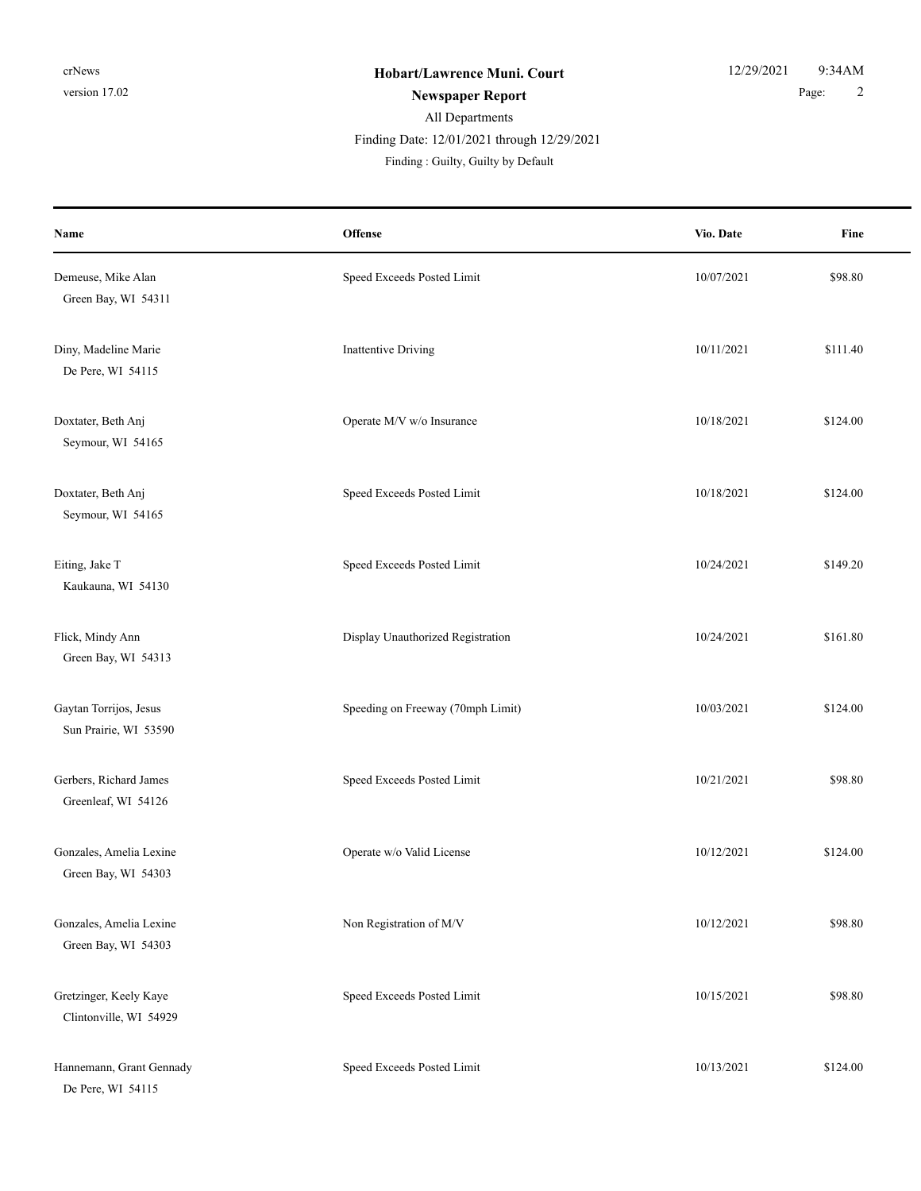| Name                                             | Offense                           | Vio. Date  | Fine     |
|--------------------------------------------------|-----------------------------------|------------|----------|
| Demeuse, Mike Alan<br>Green Bay, WI 54311        | Speed Exceeds Posted Limit        | 10/07/2021 | \$98.80  |
| Diny, Madeline Marie<br>De Pere, WI 54115        | <b>Inattentive Driving</b>        | 10/11/2021 | \$111.40 |
| Doxtater, Beth Anj<br>Seymour, WI 54165          | Operate M/V w/o Insurance         | 10/18/2021 | \$124.00 |
| Doxtater, Beth Anj<br>Seymour, WI 54165          | Speed Exceeds Posted Limit        | 10/18/2021 | \$124.00 |
| Eiting, Jake T<br>Kaukauna, WI 54130             | Speed Exceeds Posted Limit        | 10/24/2021 | \$149.20 |
| Flick, Mindy Ann<br>Green Bay, WI 54313          | Display Unauthorized Registration | 10/24/2021 | \$161.80 |
| Gaytan Torrijos, Jesus<br>Sun Prairie, WI 53590  | Speeding on Freeway (70mph Limit) | 10/03/2021 | \$124.00 |
| Gerbers, Richard James<br>Greenleaf, WI 54126    | Speed Exceeds Posted Limit        | 10/21/2021 | \$98.80  |
| Gonzales, Amelia Lexine<br>Green Bay, WI 54303   | Operate w/o Valid License         | 10/12/2021 | \$124.00 |
| Gonzales, Amelia Lexine<br>Green Bay, WI 54303   | Non Registration of M/V           | 10/12/2021 | \$98.80  |
| Gretzinger, Keely Kaye<br>Clintonville, WI 54929 | Speed Exceeds Posted Limit        | 10/15/2021 | \$98.80  |
| Hannemann, Grant Gennady<br>De Pere, WI 54115    | Speed Exceeds Posted Limit        | 10/13/2021 | \$124.00 |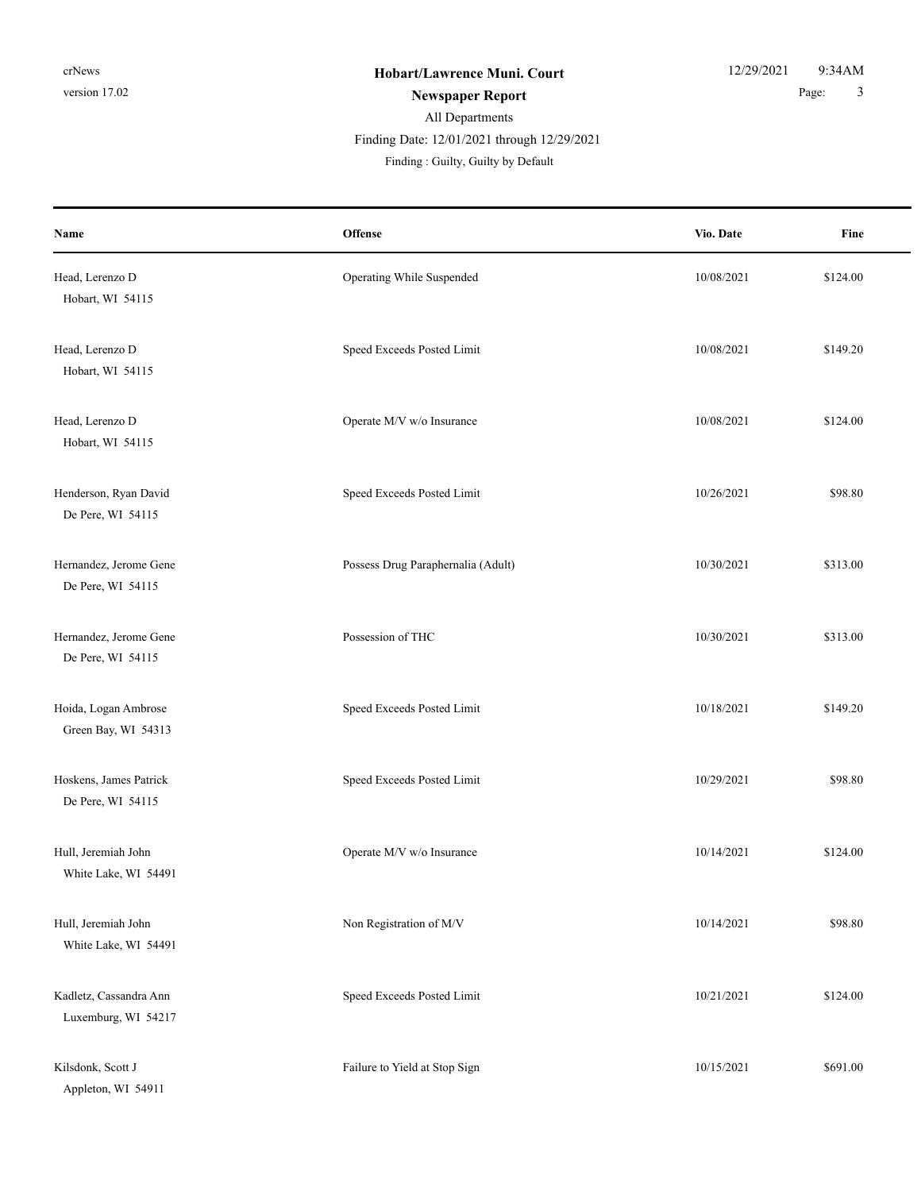| Name                                          | <b>Offense</b>                     | Vio. Date  | Fine     |
|-----------------------------------------------|------------------------------------|------------|----------|
| Head, Lerenzo D<br>Hobart, WI 54115           | Operating While Suspended          | 10/08/2021 | \$124.00 |
| Head, Lerenzo D<br>Hobart, WI 54115           | Speed Exceeds Posted Limit         | 10/08/2021 | \$149.20 |
| Head, Lerenzo D<br>Hobart, WI 54115           | Operate M/V w/o Insurance          | 10/08/2021 | \$124.00 |
| Henderson, Ryan David<br>De Pere, WI 54115    | Speed Exceeds Posted Limit         | 10/26/2021 | \$98.80  |
| Hernandez, Jerome Gene<br>De Pere, WI 54115   | Possess Drug Paraphernalia (Adult) | 10/30/2021 | \$313.00 |
| Hernandez, Jerome Gene<br>De Pere, WI 54115   | Possession of THC                  | 10/30/2021 | \$313.00 |
| Hoida, Logan Ambrose<br>Green Bay, WI 54313   | Speed Exceeds Posted Limit         | 10/18/2021 | \$149.20 |
| Hoskens, James Patrick<br>De Pere, WI 54115   | Speed Exceeds Posted Limit         | 10/29/2021 | \$98.80  |
| Hull, Jeremiah John<br>White Lake, WI 54491   | Operate M/V w/o Insurance          | 10/14/2021 | \$124.00 |
| Hull, Jeremiah John<br>White Lake, WI 54491   | Non Registration of M/V            | 10/14/2021 | \$98.80  |
| Kadletz, Cassandra Ann<br>Luxemburg, WI 54217 | Speed Exceeds Posted Limit         | 10/21/2021 | \$124.00 |
| Kilsdonk, Scott J<br>Appleton, WI 54911       | Failure to Yield at Stop Sign      | 10/15/2021 | \$691.00 |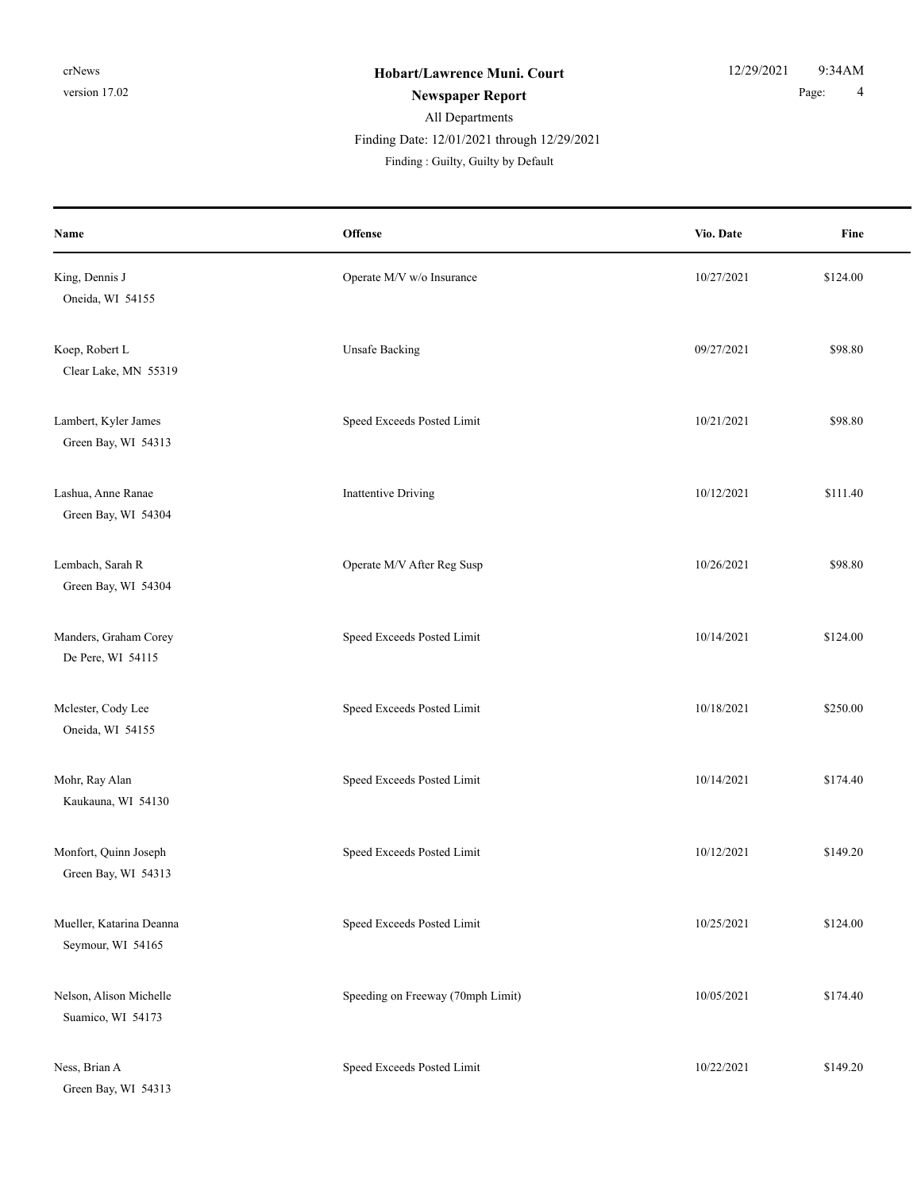| Name                                          | Offense                           | Vio. Date  | Fine     |
|-----------------------------------------------|-----------------------------------|------------|----------|
| King, Dennis J<br>Oneida, WI 54155            | Operate M/V w/o Insurance         | 10/27/2021 | \$124.00 |
| Koep, Robert L<br>Clear Lake, MN 55319        | <b>Unsafe Backing</b>             | 09/27/2021 | \$98.80  |
| Lambert, Kyler James<br>Green Bay, WI 54313   | Speed Exceeds Posted Limit        | 10/21/2021 | \$98.80  |
| Lashua, Anne Ranae<br>Green Bay, WI 54304     | <b>Inattentive Driving</b>        | 10/12/2021 | \$111.40 |
| Lembach, Sarah R<br>Green Bay, WI 54304       | Operate M/V After Reg Susp        | 10/26/2021 | \$98.80  |
| Manders, Graham Corey<br>De Pere, WI 54115    | Speed Exceeds Posted Limit        | 10/14/2021 | \$124.00 |
| Mclester, Cody Lee<br>Oneida, WI 54155        | Speed Exceeds Posted Limit        | 10/18/2021 | \$250.00 |
| Mohr, Ray Alan<br>Kaukauna, WI 54130          | Speed Exceeds Posted Limit        | 10/14/2021 | \$174.40 |
| Monfort, Quinn Joseph<br>Green Bay, WI 54313  | Speed Exceeds Posted Limit        | 10/12/2021 | \$149.20 |
| Mueller, Katarina Deanna<br>Seymour, WI 54165 | Speed Exceeds Posted Limit        | 10/25/2021 | \$124.00 |
| Nelson, Alison Michelle<br>Suamico, WI 54173  | Speeding on Freeway (70mph Limit) | 10/05/2021 | \$174.40 |
| Ness, Brian A<br>Green Bay, WI 54313          | Speed Exceeds Posted Limit        | 10/22/2021 | \$149.20 |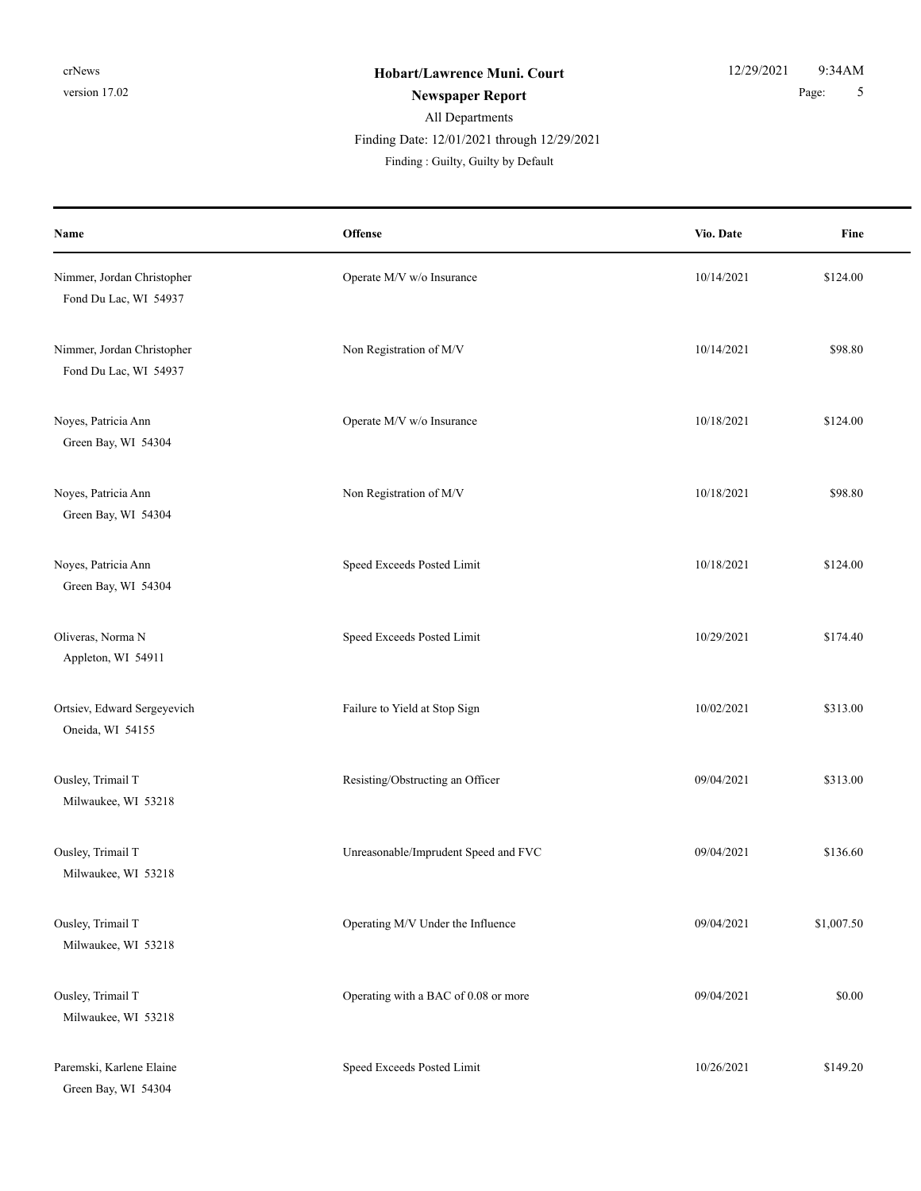| Name                                                | <b>Offense</b>                       | Vio. Date  | Fine       |
|-----------------------------------------------------|--------------------------------------|------------|------------|
| Nimmer, Jordan Christopher<br>Fond Du Lac, WI 54937 | Operate M/V w/o Insurance            | 10/14/2021 | \$124.00   |
| Nimmer, Jordan Christopher<br>Fond Du Lac, WI 54937 | Non Registration of M/V              | 10/14/2021 | \$98.80    |
| Noyes, Patricia Ann<br>Green Bay, WI 54304          | Operate M/V w/o Insurance            | 10/18/2021 | \$124.00   |
| Noyes, Patricia Ann<br>Green Bay, WI 54304          | Non Registration of M/V              | 10/18/2021 | \$98.80    |
| Noyes, Patricia Ann<br>Green Bay, WI 54304          | Speed Exceeds Posted Limit           | 10/18/2021 | \$124.00   |
| Oliveras, Norma N<br>Appleton, WI 54911             | Speed Exceeds Posted Limit           | 10/29/2021 | \$174.40   |
| Ortsiev, Edward Sergeyevich<br>Oneida, WI 54155     | Failure to Yield at Stop Sign        | 10/02/2021 | \$313.00   |
| Ousley, Trimail T<br>Milwaukee, WI 53218            | Resisting/Obstructing an Officer     | 09/04/2021 | \$313.00   |
| Ousley, Trimail T<br>Milwaukee, WI 53218            | Unreasonable/Imprudent Speed and FVC | 09/04/2021 | \$136.60   |
| Ousley, Trimail T<br>Milwaukee, WI 53218            | Operating M/V Under the Influence    | 09/04/2021 | \$1,007.50 |
| Ousley, Trimail T<br>Milwaukee, WI 53218            | Operating with a BAC of 0.08 or more | 09/04/2021 | \$0.00     |
| Paremski, Karlene Elaine<br>Green Bay, WI 54304     | Speed Exceeds Posted Limit           | 10/26/2021 | \$149.20   |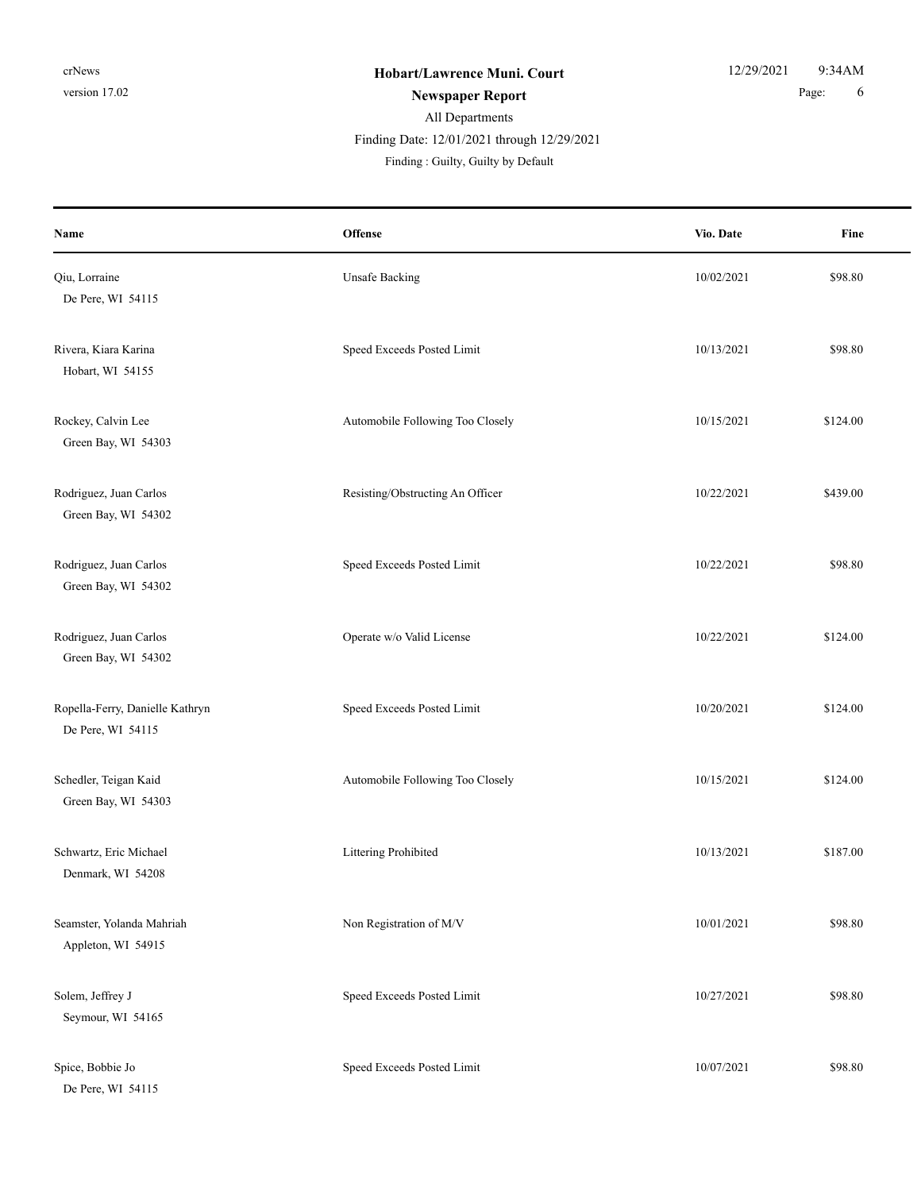De Pere, WI 54115

| Name                                                 | Offense                          | Vio. Date  | Fine     |
|------------------------------------------------------|----------------------------------|------------|----------|
| Qiu, Lorraine<br>De Pere, WI 54115                   | <b>Unsafe Backing</b>            | 10/02/2021 | \$98.80  |
| Rivera, Kiara Karina<br>Hobart, WI 54155             | Speed Exceeds Posted Limit       | 10/13/2021 | \$98.80  |
| Rockey, Calvin Lee<br>Green Bay, WI 54303            | Automobile Following Too Closely | 10/15/2021 | \$124.00 |
| Rodriguez, Juan Carlos<br>Green Bay, WI 54302        | Resisting/Obstructing An Officer | 10/22/2021 | \$439.00 |
| Rodriguez, Juan Carlos<br>Green Bay, WI 54302        | Speed Exceeds Posted Limit       | 10/22/2021 | \$98.80  |
| Rodriguez, Juan Carlos<br>Green Bay, WI 54302        | Operate w/o Valid License        | 10/22/2021 | \$124.00 |
| Ropella-Ferry, Danielle Kathryn<br>De Pere, WI 54115 | Speed Exceeds Posted Limit       | 10/20/2021 | \$124.00 |
| Schedler, Teigan Kaid<br>Green Bay, WI 54303         | Automobile Following Too Closely | 10/15/2021 | \$124.00 |
| Schwartz, Eric Michael<br>Denmark, WI 54208          | Littering Prohibited             | 10/13/2021 | \$187.00 |
| Seamster, Yolanda Mahriah<br>Appleton, WI 54915      | Non Registration of M/V          | 10/01/2021 | \$98.80  |
| Solem, Jeffrey J<br>Seymour, WI 54165                | Speed Exceeds Posted Limit       | 10/27/2021 | \$98.80  |
| Spice, Bobbie Jo                                     | Speed Exceeds Posted Limit       | 10/07/2021 | \$98.80  |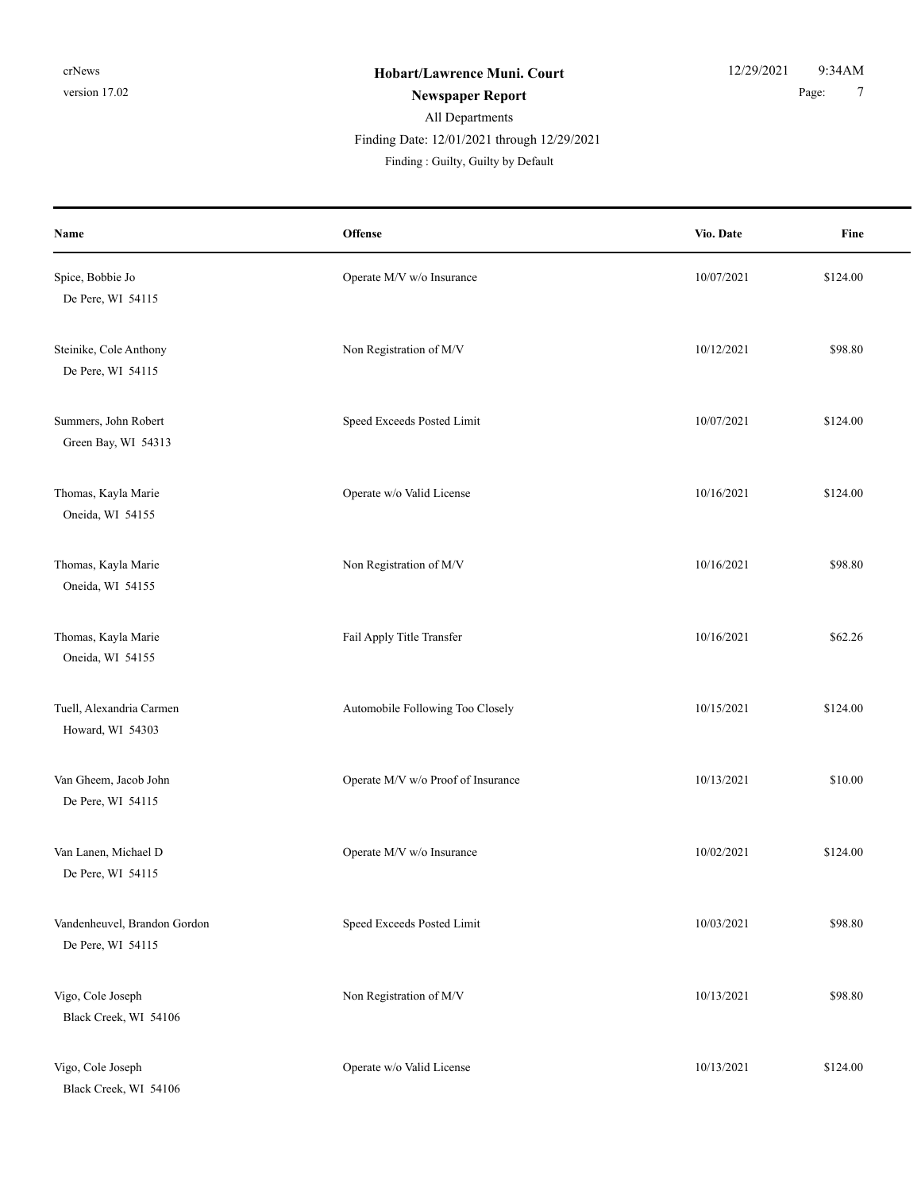| Name                                              | Offense                            | Vio. Date  | Fine     |
|---------------------------------------------------|------------------------------------|------------|----------|
| Spice, Bobbie Jo<br>De Pere, WI 54115             | Operate M/V w/o Insurance          | 10/07/2021 | \$124.00 |
| Steinike, Cole Anthony<br>De Pere, WI 54115       | Non Registration of M/V            | 10/12/2021 | \$98.80  |
| Summers, John Robert<br>Green Bay, WI 54313       | Speed Exceeds Posted Limit         | 10/07/2021 | \$124.00 |
| Thomas, Kayla Marie<br>Oneida, WI 54155           | Operate w/o Valid License          | 10/16/2021 | \$124.00 |
| Thomas, Kayla Marie<br>Oneida, WI 54155           | Non Registration of M/V            | 10/16/2021 | \$98.80  |
| Thomas, Kayla Marie<br>Oneida, WI 54155           | Fail Apply Title Transfer          | 10/16/2021 | \$62.26  |
| Tuell, Alexandria Carmen<br>Howard, WI 54303      | Automobile Following Too Closely   | 10/15/2021 | \$124.00 |
| Van Gheem, Jacob John<br>De Pere, WI 54115        | Operate M/V w/o Proof of Insurance | 10/13/2021 | \$10.00  |
| Van Lanen, Michael D<br>De Pere, WI 54115         | Operate M/V w/o Insurance          | 10/02/2021 | \$124.00 |
| Vandenheuvel, Brandon Gordon<br>De Pere, WI 54115 | Speed Exceeds Posted Limit         | 10/03/2021 | \$98.80  |
| Vigo, Cole Joseph<br>Black Creek, WI 54106        | Non Registration of M/V            | 10/13/2021 | \$98.80  |
| Vigo, Cole Joseph<br>Black Creek, WI 54106        | Operate w/o Valid License          | 10/13/2021 | \$124.00 |